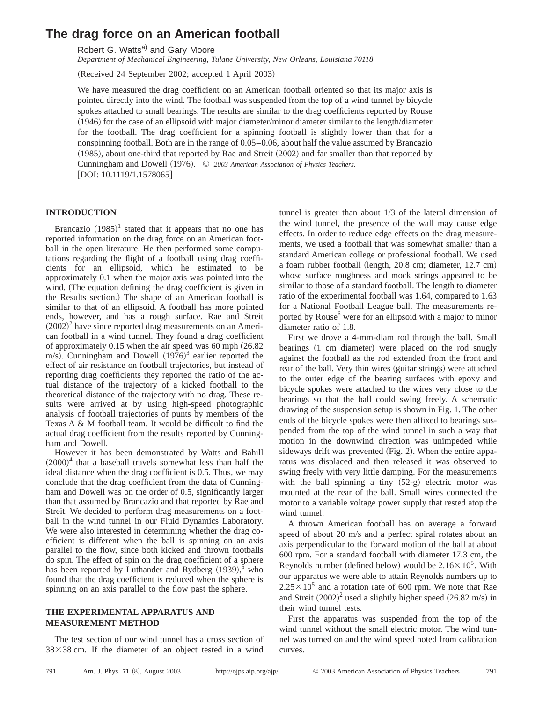# **The drag force on an American football**

Robert G. Watts<sup>a)</sup> and Gary Moore

*Department of Mechanical Engineering, Tulane University, New Orleans, Louisiana 70118*

(Received 24 September 2002; accepted 1 April 2003)

We have measured the drag coefficient on an American football oriented so that its major axis is pointed directly into the wind. The football was suspended from the top of a wind tunnel by bicycle spokes attached to small bearings. The results are similar to the drag coefficients reported by Rouse  $(1946)$  for the case of an ellipsoid with major diameter/minor diameter similar to the length/diameter for the football. The drag coefficient for a spinning football is slightly lower than that for a nonspinning football. Both are in the range of 0.05–0.06, about half the value assumed by Brancazio  $(1985)$ , about one-third that reported by Rae and Streit  $(2002)$  and far smaller than that reported by Cunningham and Dowell (1976). © 2003 American Association of Physics Teachers.  $[DOI: 10.1119/1.1578065]$ 

#### **INTRODUCTION**

Brancazio  $(1985)^1$  stated that it appears that no one has reported information on the drag force on an American football in the open literature. He then performed some computations regarding the flight of a football using drag coefficients for an ellipsoid, which he estimated to be approximately 0.1 when the major axis was pointed into the wind. (The equation defining the drag coefficient is given in the Results section.) The shape of an American football is similar to that of an ellipsoid. A football has more pointed ends, however, and has a rough surface. Rae and Streit  $(2002)^2$  have since reported drag measurements on an American football in a wind tunnel. They found a drag coefficient of approximately  $0.15$  when the air speed was  $60$  mph  $(26.82)$ m/s). Cunningham and Dowell  $(1976)^3$  earlier reported the effect of air resistance on football trajectories, but instead of reporting drag coefficients they reported the ratio of the actual distance of the trajectory of a kicked football to the theoretical distance of the trajectory with no drag. These results were arrived at by using high-speed photographic analysis of football trajectories of punts by members of the Texas A & M football team. It would be difficult to find the actual drag coefficient from the results reported by Cunningham and Dowell.

However it has been demonstrated by Watts and Bahill  $(2000)^4$  that a baseball travels somewhat less than half the ideal distance when the drag coefficient is 0.5. Thus, we may conclude that the drag coefficient from the data of Cunningham and Dowell was on the order of 0.5, significantly larger than that assumed by Brancazio and that reported by Rae and Streit. We decided to perform drag measurements on a football in the wind tunnel in our Fluid Dynamics Laboratory. We were also interested in determining whether the drag coefficient is different when the ball is spinning on an axis parallel to the flow, since both kicked and thrown footballs do spin. The effect of spin on the drag coefficient of a sphere has been reported by Luthander and Rydberg  $(1939)$ ,<sup>5</sup> who found that the drag coefficient is reduced when the sphere is spinning on an axis parallel to the flow past the sphere.

### **THE EXPERIMENTAL APPARATUS AND MEASUREMENT METHOD**

The test section of our wind tunnel has a cross section of  $38\times38$  cm. If the diameter of an object tested in a wind tunnel is greater than about 1/3 of the lateral dimension of the wind tunnel, the presence of the wall may cause edge effects. In order to reduce edge effects on the drag measurements, we used a football that was somewhat smaller than a standard American college or professional football. We used a foam rubber football (length, 20.8 cm; diameter, 12.7 cm) whose surface roughness and mock strings appeared to be similar to those of a standard football. The length to diameter ratio of the experimental football was 1.64, compared to 1.63 for a National Football League ball. The measurements reported by Rouse<sup>6</sup> were for an ellipsoid with a major to minor diameter ratio of 1.8.

First we drove a 4-mm-diam rod through the ball. Small bearings (1 cm diameter) were placed on the rod snugly against the football as the rod extended from the front and rear of the ball. Very thin wires (guitar strings) were attached to the outer edge of the bearing surfaces with epoxy and bicycle spokes were attached to the wires very close to the bearings so that the ball could swing freely. A schematic drawing of the suspension setup is shown in Fig. 1. The other ends of the bicycle spokes were then affixed to bearings suspended from the top of the wind tunnel in such a way that motion in the downwind direction was unimpeded while sideways drift was prevented  $(Fig. 2)$ . When the entire apparatus was displaced and then released it was observed to swing freely with very little damping. For the measurements with the ball spinning a tiny  $(52-g)$  electric motor was mounted at the rear of the ball. Small wires connected the motor to a variable voltage power supply that rested atop the wind tunnel.

A thrown American football has on average a forward speed of about 20 m/s and a perfect spiral rotates about an axis perpendicular to the forward motion of the ball at about 600 rpm. For a standard football with diameter 17.3 cm, the Reynolds number (defined below) would be  $2.16 \times 10^5$ . With our apparatus we were able to attain Reynolds numbers up to  $2.25 \times 10^5$  and a rotation rate of 600 rpm. We note that Rae and Streit  $(2002)^2$  used a slightly higher speed  $(26.82 \text{ m/s})$  in their wind tunnel tests.

First the apparatus was suspended from the top of the wind tunnel without the small electric motor. The wind tunnel was turned on and the wind speed noted from calibration curves.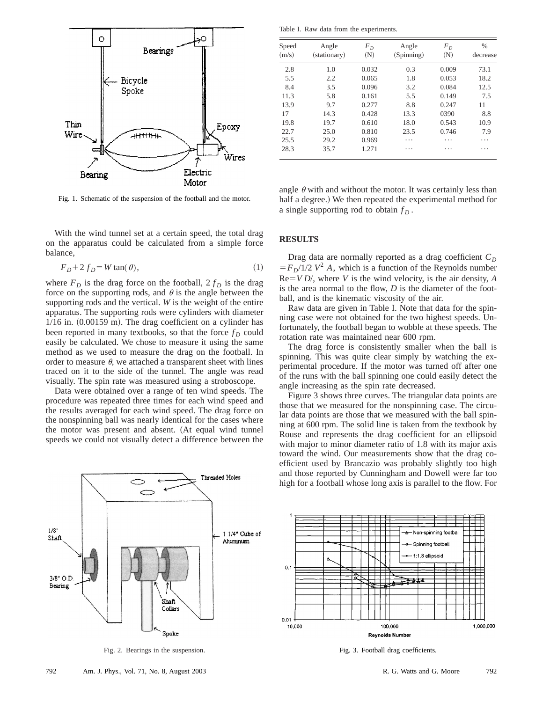

Fig. 1. Schematic of the suspension of the football and the motor.

With the wind tunnel set at a certain speed, the total drag on the apparatus could be calculated from a simple force balance,

$$
F_D + 2 f_D = W \tan(\theta),\tag{1}
$$

where  $F_D$  is the drag force on the football,  $2 f_D$  is the drag force on the supporting rods, and  $\theta$  is the angle between the supporting rods and the vertical. *W* is the weight of the entire apparatus. The supporting rods were cylinders with diameter  $1/16$  in.  $(0.00159 \text{ m})$ . The drag coefficient on a cylinder has been reported in many textbooks, so that the force  $f<sub>D</sub>$  could easily be calculated. We chose to measure it using the same method as we used to measure the drag on the football. In order to measure  $\theta$ , we attached a transparent sheet with lines traced on it to the side of the tunnel. The angle was read visually. The spin rate was measured using a stroboscope.

Data were obtained over a range of ten wind speeds. The procedure was repeated three times for each wind speed and the results averaged for each wind speed. The drag force on the nonspinning ball was nearly identical for the cases where the motor was present and absent. (At equal wind tunnel speeds we could not visually detect a difference between the



Fig. 2. Bearings in the suspension.

Table I. Raw data from the experiments.

| Speed<br>(m/s) | Angle<br>(stationary) | $F_D$<br>(N) | Angle<br>(Spinning) | $F_D$<br>(N) | $\frac{0}{0}$<br>decrease |
|----------------|-----------------------|--------------|---------------------|--------------|---------------------------|
| 2.8            | 1.0                   | 0.032        | 0.3                 | 0.009        | 73.1                      |
| 5.5            | 2.2                   | 0.065        | 1.8                 | 0.053        | 18.2                      |
| 8.4            | 3.5                   | 0.096        | 3.2                 | 0.084        | 12.5                      |
| 11.3           | 5.8                   | 0.161        | 5.5                 | 0.149        | 7.5                       |
| 13.9           | 9.7                   | 0.277        | 8.8                 | 0.247        | 11                        |
| 17             | 14.3                  | 0.428        | 13.3                | 0390         | 8.8                       |
| 19.8           | 19.7                  | 0.610        | 18.0                | 0.543        | 10.9                      |
| 22.7           | 25.0                  | 0.810        | 23.5                | 0.746        | 7.9                       |
| 25.5           | 29.2                  | 0.969        | .                   | .            | .                         |
| 28.3           | 35.7                  | 1.271        | .                   | .            | .                         |

angle  $\theta$  with and without the motor. It was certainly less than half a degree.) We then repeated the experimental method for a single supporting rod to obtain  $f<sub>D</sub>$ .

## **RESULTS**

Drag data are normally reported as a drag coefficient  $C_D$  $F_F/I/2$   $V^2$  *A*, which is a function of the Reynolds number  $Re=VD/$ , where *V* is the wind velocity, is the air density, *A* is the area normal to the flow, *D* is the diameter of the football, and is the kinematic viscosity of the air.

Raw data are given in Table I. Note that data for the spinning case were not obtained for the two highest speeds. Unfortunately, the football began to wobble at these speeds. The rotation rate was maintained near 600 rpm.

The drag force is consistently smaller when the ball is spinning. This was quite clear simply by watching the experimental procedure. If the motor was turned off after one of the runs with the ball spinning one could easily detect the angle increasing as the spin rate decreased.

Figure 3 shows three curves. The triangular data points are those that we measured for the nonspinning case. The circular data points are those that we measured with the ball spinning at 600 rpm. The solid line is taken from the textbook by Rouse and represents the drag coefficient for an ellipsoid with major to minor diameter ratio of 1.8 with its major axis toward the wind. Our measurements show that the drag coefficient used by Brancazio was probably slightly too high and those reported by Cunningham and Dowell were far too high for a football whose long axis is parallel to the flow. For



Fig. 3. Football drag coefficients.